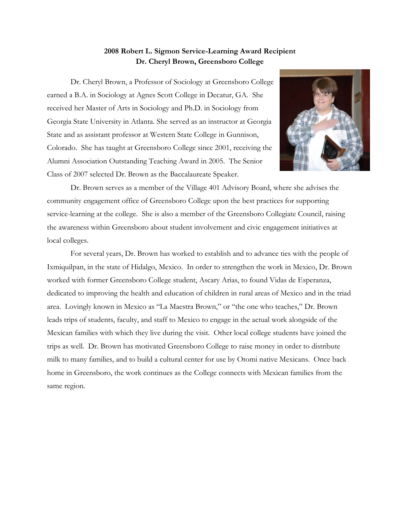## **2008 Robert L. Sigmon Service-Learning Award Recipient Dr. Cheryl Brown, Greensboro College**

Dr. Cheryl Brown, a Professor of Sociology at Greensboro College earned a B.A. in Sociology at Agnes Scott College in Decatur, GA. She received her Master of Arts in Sociology and Ph.D. in Sociology from Georgia State University in Atlanta. She served as an instructor at Georgia State and as assistant professor at Western State College in Gunnison, Colorado. She has taught at Greensboro College since 2001, receiving the Alumni Association Outstanding Teaching Award in 2005. The Senior Class of 2007 selected Dr. Brown as the Baccalaureate Speaker.



Dr. Brown serves as a member of the Village 401 Advisory Board, where she advises the community engagement office of Greensboro College upon the best practices for supporting service-learning at the college. She is also a member of the Greensboro Collegiate Council, raising the awareness within Greensboro about student involvement and civic engagement initiatives at local colleges.

For several years, Dr. Brown has worked to establish and to advance ties with the people of Ixmiquilpan, in the state of Hidalgo, Mexico. In order to strengthen the work in Mexico, Dr. Brown worked with former Greensboro College student, Ascary Arias, to found Vidas de Esperanza, dedicated to improving the health and education of children in rural areas of Mexico and in the triad area. Lovingly known in Mexico as "La Maestra Brown," or "the one who teaches," Dr. Brown leads trips of students, faculty, and staff to Mexico to engage in the actual work alongside of the Mexican families with which they live during the visit. Other local college students have joined the trips as well. Dr. Brown has motivated Greensboro College to raise money in order to distribute milk to many families, and to build a cultural center for use by Otomi native Mexicans. Once back home in Greensboro, the work continues as the College connects with Mexican families from the same region.